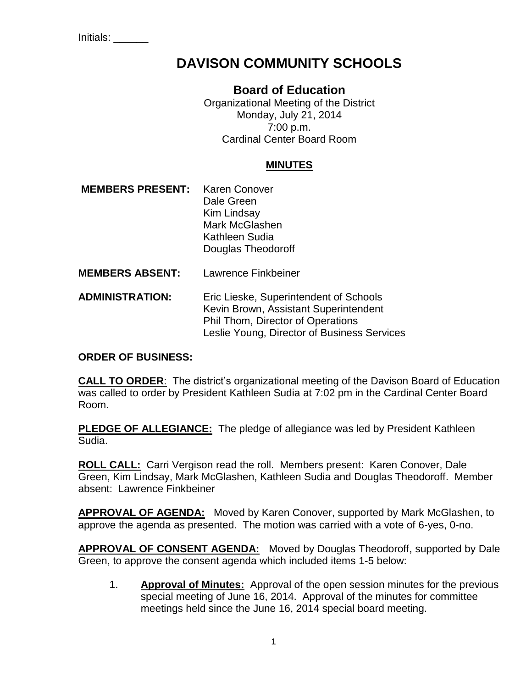Initials: \_\_\_\_\_\_

# **DAVISON COMMUNITY SCHOOLS**

## **Board of Education**

Organizational Meeting of the District Monday, July 21, 2014 7:00 p.m. Cardinal Center Board Room

### **MINUTES**

- **MEMBERS PRESENT:** Karen Conover Dale Green Kim Lindsay Mark McGlashen Kathleen Sudia Douglas Theodoroff
- **MEMBERS ABSENT:** Lawrence Finkbeiner
- **ADMINISTRATION:** Eric Lieske, Superintendent of Schools Kevin Brown, Assistant Superintendent Phil Thom, Director of Operations Leslie Young, Director of Business Services

#### **ORDER OF BUSINESS:**

**CALL TO ORDER**: The district's organizational meeting of the Davison Board of Education was called to order by President Kathleen Sudia at 7:02 pm in the Cardinal Center Board Room.

**PLEDGE OF ALLEGIANCE:** The pledge of allegiance was led by President Kathleen Sudia.

**ROLL CALL:** Carri Vergison read the roll. Members present: Karen Conover, Dale Green, Kim Lindsay, Mark McGlashen, Kathleen Sudia and Douglas Theodoroff. Member absent: Lawrence Finkbeiner

**APPROVAL OF AGENDA:** Moved by Karen Conover, supported by Mark McGlashen, to approve the agenda as presented. The motion was carried with a vote of 6-yes, 0-no.

**APPROVAL OF CONSENT AGENDA:** Moved by Douglas Theodoroff, supported by Dale Green, to approve the consent agenda which included items 1-5 below:

1. **Approval of Minutes:** Approval of the open session minutes for the previous special meeting of June 16, 2014. Approval of the minutes for committee meetings held since the June 16, 2014 special board meeting.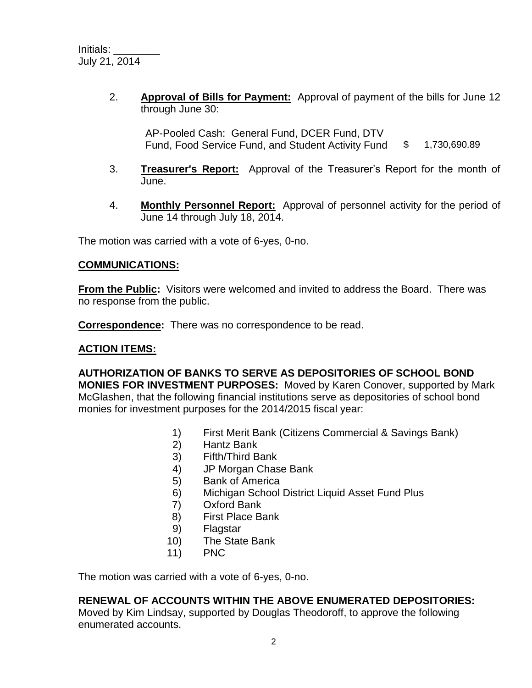2. **Approval of Bills for Payment:** Approval of payment of the bills for June 12 through June 30:

AP-Pooled Cash: General Fund, DCER Fund, DTV Fund, Food Service Fund, and Student Activity Fund \$ 1,730,690.89

- 3. **Treasurer's Report:** Approval of the Treasurer's Report for the month of June.
- 4. **Monthly Personnel Report:** Approval of personnel activity for the period of June 14 through July 18, 2014.

The motion was carried with a vote of 6-yes, 0-no.

#### **COMMUNICATIONS:**

**From the Public:** Visitors were welcomed and invited to address the Board. There was no response from the public.

**Correspondence:** There was no correspondence to be read.

#### **ACTION ITEMS:**

**AUTHORIZATION OF BANKS TO SERVE AS DEPOSITORIES OF SCHOOL BOND MONIES FOR INVESTMENT PURPOSES:** Moved by Karen Conover, supported by Mark McGlashen, that the following financial institutions serve as depositories of school bond monies for investment purposes for the 2014/2015 fiscal year:

- 1) First Merit Bank (Citizens Commercial & Savings Bank)<br>2) Hantz Bank
- Hantz Bank
- 3) Fifth/Third Bank
- 4) JP Morgan Chase Bank
- 5) Bank of America
- 6) Michigan School District Liquid Asset Fund Plus
- 7) Oxford Bank
- 8) First Place Bank
- 9) Flagstar
- 10) The State Bank
- 11) PNC

The motion was carried with a vote of 6-yes, 0-no.

#### **RENEWAL OF ACCOUNTS WITHIN THE ABOVE ENUMERATED DEPOSITORIES:**

Moved by Kim Lindsay, supported by Douglas Theodoroff, to approve the following enumerated accounts.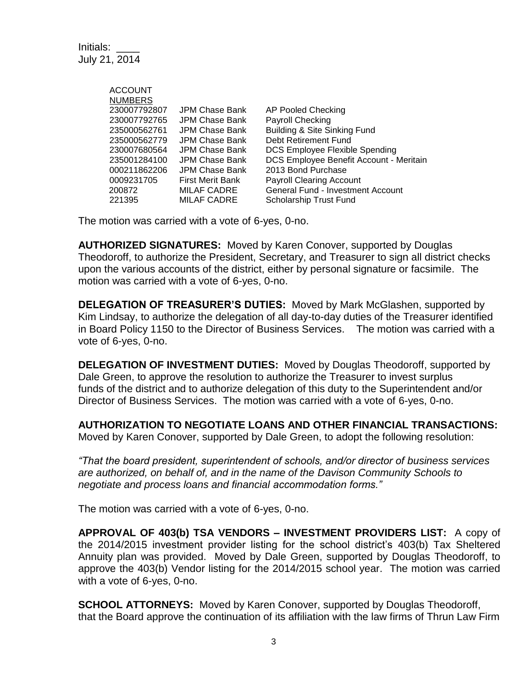Initials: \_\_\_\_ July 21, 2014

| <b>ACCOUNT</b> |                    |                                         |
|----------------|--------------------|-----------------------------------------|
| <b>NUMBERS</b> |                    |                                         |
| 230007792807   | JPM Chase Bank     | <b>AP Pooled Checking</b>               |
| 230007792765   | JPM Chase Bank     | Payroll Checking                        |
| 235000562761   | JPM Chase Bank     | Building & Site Sinking Fund            |
| 235000562779   | JPM Chase Bank     | Debt Retirement Fund                    |
| 230007680564   | JPM Chase Bank     | DCS Employee Flexible Spending          |
| 235001284100   | JPM Chase Bank     | DCS Employee Benefit Account - Meritain |
| 000211862206   | JPM Chase Bank     | 2013 Bond Purchase                      |
| 0009231705     | First Merit Bank   | <b>Payroll Clearing Account</b>         |
| 200872         | MILAF CADRE        | General Fund - Investment Account       |
| 221395         | <b>MILAF CADRE</b> | <b>Scholarship Trust Fund</b>           |

The motion was carried with a vote of 6-yes, 0-no.

**AUTHORIZED SIGNATURES:** Moved by Karen Conover, supported by Douglas Theodoroff, to authorize the President, Secretary, and Treasurer to sign all district checks upon the various accounts of the district, either by personal signature or facsimile. The motion was carried with a vote of 6-yes, 0-no.

**DELEGATION OF TREASURER'S DUTIES:** Moved by Mark McGlashen, supported by Kim Lindsay, to authorize the delegation of all day-to-day duties of the Treasurer identified in Board Policy 1150 to the Director of Business Services. The motion was carried with a vote of 6-yes, 0-no.

**DELEGATION OF INVESTMENT DUTIES:** Moved by Douglas Theodoroff, supported by Dale Green, to approve the resolution to authorize the Treasurer to invest surplus funds of the district and to authorize delegation of this duty to the Superintendent and/or Director of Business Services. The motion was carried with a vote of 6-yes, 0-no.

**AUTHORIZATION TO NEGOTIATE LOANS AND OTHER FINANCIAL TRANSACTIONS:** 

Moved by Karen Conover, supported by Dale Green, to adopt the following resolution:

*"That the board president, superintendent of schools, and/or director of business services are authorized, on behalf of, and in the name of the Davison Community Schools to negotiate and process loans and financial accommodation forms."*

The motion was carried with a vote of 6-yes, 0-no.

**APPROVAL OF 403(b) TSA VENDORS – INVESTMENT PROVIDERS LIST:**A copy of the 2014/2015 investment provider listing for the school district's 403(b) Tax Sheltered Annuity plan was provided. Moved by Dale Green, supported by Douglas Theodoroff, to approve the 403(b) Vendor listing for the 2014/2015 school year. The motion was carried with a vote of 6-yes, 0-no.

**SCHOOL ATTORNEYS:** Moved by Karen Conover, supported by Douglas Theodoroff, that the Board approve the continuation of its affiliation with the law firms of Thrun Law Firm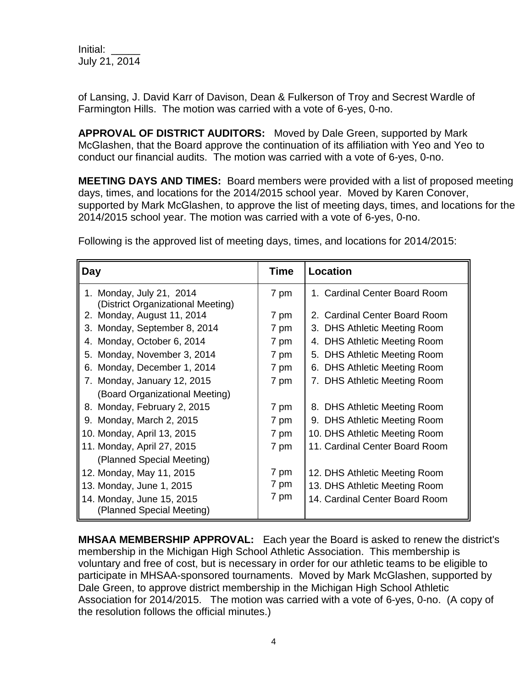Initial: \_\_\_\_\_ July 21, 2014

of Lansing, J. David Karr of Davison, Dean & Fulkerson of Troy and Secrest Wardle of Farmington Hills. The motion was carried with a vote of 6-yes, 0-no.

**APPROVAL OF DISTRICT AUDITORS:** Moved by Dale Green, supported by Mark McGlashen, that the Board approve the continuation of its affiliation with Yeo and Yeo to conduct our financial audits. The motion was carried with a vote of 6-yes, 0-no.

**MEETING DAYS AND TIMES:** Board members were provided with a list of proposed meeting days, times, and locations for the 2014/2015 school year. Moved by Karen Conover, supported by Mark McGlashen, to approve the list of meeting days, times, and locations for the 2014/2015 school year. The motion was carried with a vote of 6-yes, 0-no.

| Day                                                           | <b>Time</b> | <b>Location</b>                |
|---------------------------------------------------------------|-------------|--------------------------------|
| 1. Monday, July 21, 2014<br>(District Organizational Meeting) | 7 pm        | 1. Cardinal Center Board Room  |
| 2. Monday, August 11, 2014                                    | 7 pm        | 2. Cardinal Center Board Room  |
| 3. Monday, September 8, 2014                                  | 7 pm        | 3. DHS Athletic Meeting Room   |
| 4. Monday, October 6, 2014                                    | 7 pm        | 4. DHS Athletic Meeting Room   |
| Monday, November 3, 2014<br>5.                                | 7 pm        | 5. DHS Athletic Meeting Room   |
| 6. Monday, December 1, 2014                                   | 7 pm        | 6. DHS Athletic Meeting Room   |
| 7. Monday, January 12, 2015                                   | 7 pm        | 7. DHS Athletic Meeting Room   |
| (Board Organizational Meeting)                                |             |                                |
| 8. Monday, February 2, 2015                                   | 7 pm        | 8. DHS Athletic Meeting Room   |
| 9. Monday, March 2, 2015                                      | 7 pm        | 9. DHS Athletic Meeting Room   |
| 10. Monday, April 13, 2015                                    | 7 pm        | 10. DHS Athletic Meeting Room  |
| 11. Monday, April 27, 2015                                    | 7 pm        | 11. Cardinal Center Board Room |
| (Planned Special Meeting)                                     |             |                                |
| 12. Monday, May 11, 2015                                      | 7 pm        | 12. DHS Athletic Meeting Room  |
| 13. Monday, June 1, 2015                                      | 7 pm        | 13. DHS Athletic Meeting Room  |
| 14. Monday, June 15, 2015<br>(Planned Special Meeting)        | 7 pm        | 14. Cardinal Center Board Room |

Following is the approved list of meeting days, times, and locations for 2014/2015:

**MHSAA MEMBERSHIP APPROVAL:** Each year the Board is asked to renew the district's membership in the Michigan High School Athletic Association. This membership is voluntary and free of cost, but is necessary in order for our athletic teams to be eligible to participate in MHSAA-sponsored tournaments. Moved by Mark McGlashen, supported by Dale Green, to approve district membership in the Michigan High School Athletic Association for 2014/2015. The motion was carried with a vote of 6-yes, 0-no. (A copy of the resolution follows the official minutes.)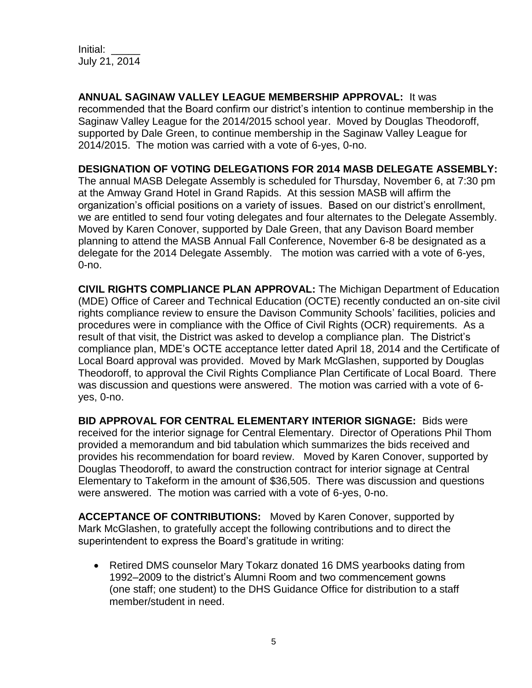Initial: \_\_\_\_\_ July 21, 2014

**ANNUAL SAGINAW VALLEY LEAGUE MEMBERSHIP APPROVAL:** It was recommended that the Board confirm our district's intention to continue membership in the Saginaw Valley League for the 2014/2015 school year. Moved by Douglas Theodoroff, supported by Dale Green, to continue membership in the Saginaw Valley League for 2014/2015. The motion was carried with a vote of 6-yes, 0-no.

#### **DESIGNATION OF VOTING DELEGATIONS FOR 2014 MASB DELEGATE ASSEMBLY:**

The annual MASB Delegate Assembly is scheduled for Thursday, November 6, at 7:30 pm at the Amway Grand Hotel in Grand Rapids. At this session MASB will affirm the organization's official positions on a variety of issues. Based on our district's enrollment, we are entitled to send four voting delegates and four alternates to the Delegate Assembly. Moved by Karen Conover, supported by Dale Green, that any Davison Board member planning to attend the MASB Annual Fall Conference, November 6-8 be designated as a delegate for the 2014 Delegate Assembly. The motion was carried with a vote of 6-yes, 0-no.

**CIVIL RIGHTS COMPLIANCE PLAN APPROVAL:** The Michigan Department of Education (MDE) Office of Career and Technical Education (OCTE) recently conducted an on-site civil rights compliance review to ensure the Davison Community Schools' facilities, policies and procedures were in compliance with the Office of Civil Rights (OCR) requirements. As a result of that visit, the District was asked to develop a compliance plan. The District's compliance plan, MDE's OCTE acceptance letter dated April 18, 2014 and the Certificate of Local Board approval was provided. Moved by Mark McGlashen, supported by Douglas Theodoroff, to approval the Civil Rights Compliance Plan Certificate of Local Board. There was discussion and questions were answered. The motion was carried with a vote of 6 yes, 0-no.

**BID APPROVAL FOR CENTRAL ELEMENTARY INTERIOR SIGNAGE:** Bids were received for the interior signage for Central Elementary. Director of Operations Phil Thom provided a memorandum and bid tabulation which summarizes the bids received and provides his recommendation for board review. Moved by Karen Conover, supported by Douglas Theodoroff, to award the construction contract for interior signage at Central Elementary to Takeform in the amount of \$36,505. There was discussion and questions were answered. The motion was carried with a vote of 6-yes, 0-no.

**ACCEPTANCE OF CONTRIBUTIONS:** Moved by Karen Conover, supported by Mark McGlashen, to gratefully accept the following contributions and to direct the superintendent to express the Board's gratitude in writing:

• Retired DMS counselor Mary Tokarz donated 16 DMS yearbooks dating from 1992–2009 to the district's Alumni Room and two commencement gowns (one staff; one student) to the DHS Guidance Office for distribution to a staff member/student in need.